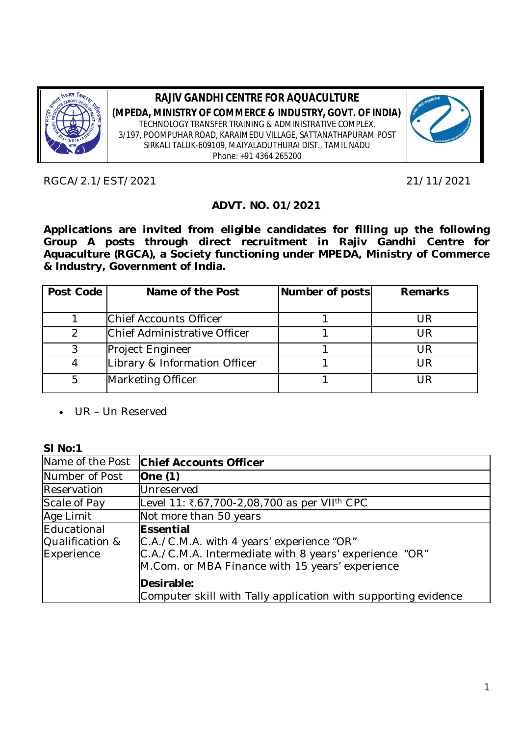

**RAJIV GANDHI CENTRE FOR AQUACULTURE (MPEDA, MINISTRY OF COMMERCE & INDUSTRY, GOVT. OF INDIA)** TECHNOLOGY TRANSFER TRAINING & ADMINISTRATIVE COMPLEX, 3/197, POOMPUHAR ROAD, KARAIMEDU VILLAGE, SATTANATHAPURAM POST SIRKALI TALUK-609109, MAIYALADUTHURAI DIST., TAMIL NADU Phone: +91 4364 265200



RGCA/2.1/EST/2021 21/11/2021

## **ADVT. NO. 01/2021**

**Applications are invited from eligible candidates for filling up the following**  Group A posts through direct recruitment in Rajiv Gandhi Centre for **Aquaculture (RGCA), a Society functioning under MPEDA, Ministry of Commerce & Industry, Government of India.**

| Post Code | Name of the Post              | Number of posts | <b>Remarks</b> |  |  |
|-----------|-------------------------------|-----------------|----------------|--|--|
|           |                               |                 |                |  |  |
|           | Chief Accounts Officer        |                 | UR             |  |  |
|           | Chief Administrative Officer  |                 | UR             |  |  |
|           | Project Engineer              |                 | UR             |  |  |
|           | Library & Information Officer |                 | UR             |  |  |
| 5         | Marketing Officer             |                 | IR             |  |  |

UR – Un Reserved

#### **Sl No:1**

| Name of the Post                             | <b>Chief Accounts Officer</b>                                                                                                                                       |  |  |  |  |
|----------------------------------------------|---------------------------------------------------------------------------------------------------------------------------------------------------------------------|--|--|--|--|
| Number of Post                               | One(1)                                                                                                                                                              |  |  |  |  |
| Reservation                                  | Unreserved                                                                                                                                                          |  |  |  |  |
| Scale of Pay                                 | Level 11: ₹.67,700-2,08,700 as per VII <sup>th</sup> CPC                                                                                                            |  |  |  |  |
| Age Limit                                    | Not more than 50 years                                                                                                                                              |  |  |  |  |
| Educational<br>Qualification &<br>Experience | Essential<br>C.A./C.M.A. with 4 years' experience "OR"<br>C.A./C.M.A. Intermediate with 8 years' experience "OR"<br>M.Com. or MBA Finance with 15 years' experience |  |  |  |  |
|                                              | Desirable:<br>Computer skill with Tally application with supporting evidence                                                                                        |  |  |  |  |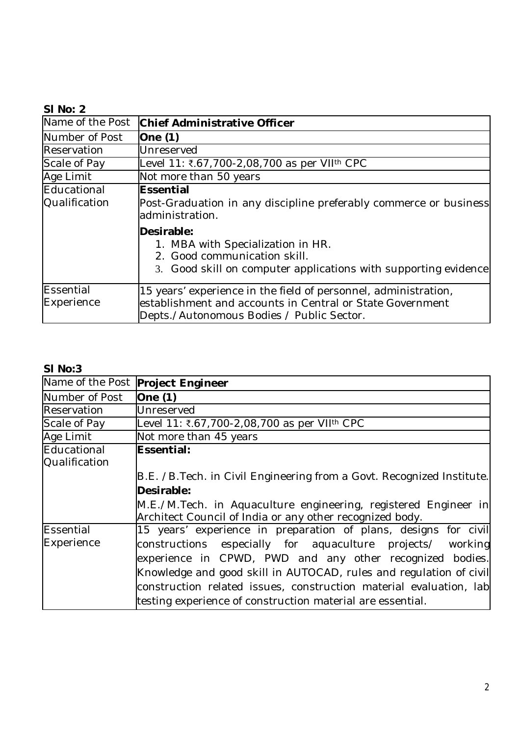# **Sl No: 2**

| Name of the Post             | Chief Administrative Officer                                                                                                                                              |  |  |  |  |
|------------------------------|---------------------------------------------------------------------------------------------------------------------------------------------------------------------------|--|--|--|--|
| Number of Post               | One $(1)$                                                                                                                                                                 |  |  |  |  |
| Reservation                  | Unreserved                                                                                                                                                                |  |  |  |  |
| Scale of Pay                 | Level 11: ₹.67,700-2,08,700 as per VII <sup>th</sup> CPC                                                                                                                  |  |  |  |  |
| Age Limit                    | Not more than 50 years                                                                                                                                                    |  |  |  |  |
| Educational<br>Qualification | <b>Essential</b><br>Post-Graduation in any discipline preferably commerce or business<br>administration.                                                                  |  |  |  |  |
|                              | Desirable:<br>1. MBA with Specialization in HR.<br>2. Good communication skill.<br>3. Good skill on computer applications with supporting evidence                        |  |  |  |  |
| Essential<br>Experience      | 15 years' experience in the field of personnel, administration,<br>establishment and accounts in Central or State Government<br>Depts./Autonomous Bodies / Public Sector. |  |  |  |  |

#### **Sl No:3**

|                                            | Name of the Post Project Engineer                                                                                           |  |  |  |  |  |
|--------------------------------------------|-----------------------------------------------------------------------------------------------------------------------------|--|--|--|--|--|
| Number of Post                             | One $(1)$                                                                                                                   |  |  |  |  |  |
| Reservation                                | Unreserved                                                                                                                  |  |  |  |  |  |
| Scale of Pay                               | Level 11: ₹.67,700-2,08,700 as per VII <sup>th</sup> CPC                                                                    |  |  |  |  |  |
| Age Limit                                  | Not more than 45 years                                                                                                      |  |  |  |  |  |
| Educational<br>Essential:<br>Qualification |                                                                                                                             |  |  |  |  |  |
|                                            | B.E. /B. Tech. in Civil Engineering from a Govt. Recognized Institute.                                                      |  |  |  |  |  |
|                                            | Desirable:                                                                                                                  |  |  |  |  |  |
|                                            | M.E./M.Tech. in Aquaculture engineering, registered Engineer in<br>Architect Council of India or any other recognized body. |  |  |  |  |  |
| Essential                                  | 15 years' experience in preparation of plans, designs for civil                                                             |  |  |  |  |  |
| Experience                                 | constructions especially for aquaculture projects/ working                                                                  |  |  |  |  |  |
|                                            | experience in CPWD, PWD and any other recognized bodies.                                                                    |  |  |  |  |  |
|                                            | Knowledge and good skill in AUTOCAD, rules and regulation of civil                                                          |  |  |  |  |  |
|                                            | construction related issues, construction material evaluation, lab                                                          |  |  |  |  |  |
|                                            | testing experience of construction material are essential.                                                                  |  |  |  |  |  |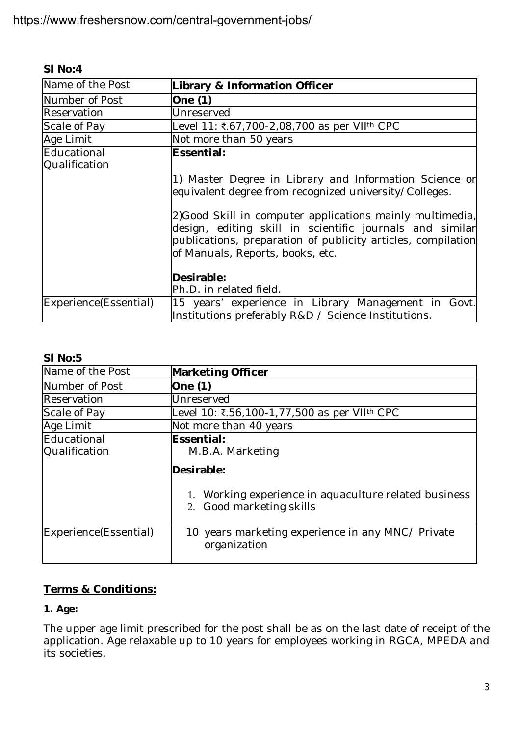| Name of the Post                                                                                                                    | Library & Information Officer                                                                                                                                                                                             |  |  |  |  |
|-------------------------------------------------------------------------------------------------------------------------------------|---------------------------------------------------------------------------------------------------------------------------------------------------------------------------------------------------------------------------|--|--|--|--|
| Number of Post                                                                                                                      | One $(1)$                                                                                                                                                                                                                 |  |  |  |  |
| Reservation                                                                                                                         | Unreserved                                                                                                                                                                                                                |  |  |  |  |
| Scale of Pay                                                                                                                        | Level 11: ₹.67,700-2,08,700 as per VII <sup>th</sup> CPC                                                                                                                                                                  |  |  |  |  |
| Age Limit                                                                                                                           | Not more than 50 years                                                                                                                                                                                                    |  |  |  |  |
| Educational<br>Qualification                                                                                                        | Essential:                                                                                                                                                                                                                |  |  |  |  |
|                                                                                                                                     | 1) Master Degree in Library and Information Science or<br>equivalent degree from recognized university/Colleges.                                                                                                          |  |  |  |  |
|                                                                                                                                     | 2) Good Skill in computer applications mainly multimedia,<br>design, editing skill in scientific journals and similar<br>publications, preparation of publicity articles, compilation<br>of Manuals, Reports, books, etc. |  |  |  |  |
|                                                                                                                                     | Desirable:<br>Ph.D. in related field.                                                                                                                                                                                     |  |  |  |  |
| Experience(Essential)<br>15 years' experience in Library Management in Govt.<br>Institutions preferably R&D / Science Institutions. |                                                                                                                                                                                                                           |  |  |  |  |

| SI No:5                      |                                                                                                                                   |  |  |  |  |
|------------------------------|-----------------------------------------------------------------------------------------------------------------------------------|--|--|--|--|
| Name of the Post             | <b>Marketing Officer</b>                                                                                                          |  |  |  |  |
| Number of Post               | One (1)                                                                                                                           |  |  |  |  |
| Reservation                  | Unreserved                                                                                                                        |  |  |  |  |
| Scale of Pay                 | Level 10: ₹.56,100-1,77,500 as per VII <sup>th</sup> CPC                                                                          |  |  |  |  |
| Age Limit                    | Not more than 40 years                                                                                                            |  |  |  |  |
| Educational<br>Qualification | Essential:<br>M.B.A. Marketing<br>Desirable:<br>1. Working experience in aquaculture related business<br>2. Good marketing skills |  |  |  |  |
| Experience(Essential)        | 10 years marketing experience in any MNC/ Private<br>organization                                                                 |  |  |  |  |

# **Terms & Conditions:**

## **1. Age:**

The upper age limit prescribed for the post shall be as on the last date of receipt of the application. Age relaxable up to 10 years for employees working in RGCA, MPEDA and its societies.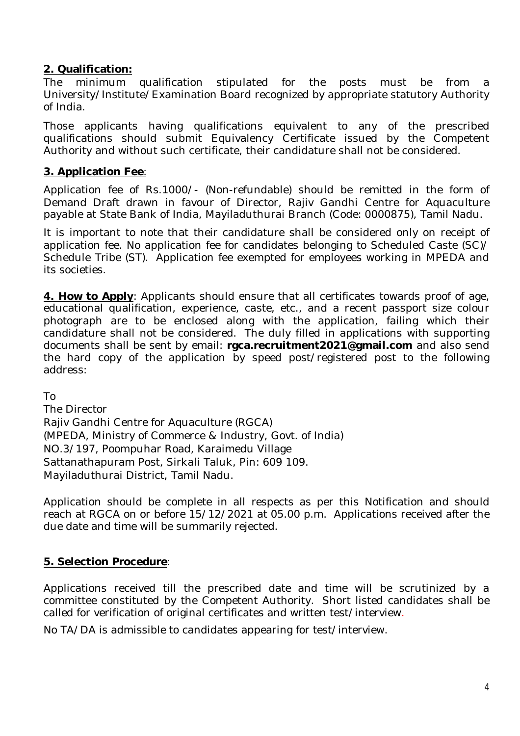### **2. Qualification:**

The minimum qualification stipulated for the posts must be from a University/Institute/Examination Board recognized by appropriate statutory Authority of India.

Those applicants having qualifications equivalent to any of the prescribed qualifications should submit Equivalency Certificate issued by the Competent Authority and without such certificate, their candidature shall not be considered.

### **3. Application Fee**:

Application fee of Rs.1000/- (Non-refundable) should be remitted in the form of Demand Draft drawn in favour of Director, Rajiv Gandhi Centre for Aquaculture payable at State Bank of India, Mayiladuthurai Branch (Code: 0000875), Tamil Nadu.

It is important to note that their candidature shall be considered only on receipt of application fee. No application fee for candidates belonging to Scheduled Caste (SC)/ Schedule Tribe (ST). Application fee exempted for employees working in MPEDA and its societies.

**4. How to Apply**: Applicants should ensure that all certificates towards proof of age, educational qualification, experience, caste, etc., and a recent passport size colour photograph are to be enclosed along with the application, failing which their candidature shall not be considered. The duly filled in applications with supporting documents shall be sent by email: **rgca.recruitment2021@gmail.com** and also send the hard copy of the application by speed post/registered post to the following address:

To

The Director Rajiv Gandhi Centre for Aquaculture (RGCA) (MPEDA, Ministry of Commerce & Industry, Govt. of India) NO.3/197, Poompuhar Road, Karaimedu Village Sattanathapuram Post, Sirkali Taluk, Pin: 609 109. Mayiladuthurai District, Tamil Nadu.

Application should be complete in all respects as per this Notification and should reach at RGCA on or before 15/12/2021 at 05.00 p.m. Applications received after the due date and time will be summarily rejected.

### **5. Selection Procedure**:

Applications received till the prescribed date and time will be scrutinized by a committee constituted by the Competent Authority. Short listed candidates shall be called for verification of original certificates and written test/interview.

No TA/DA is admissible to candidates appearing for test/interview.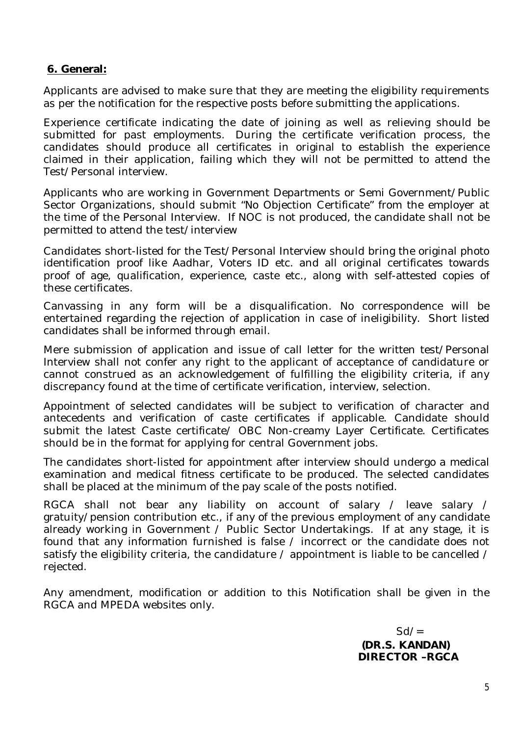#### **6. General:**

Applicants are advised to make sure that they are meeting the eligibility requirements as per the notification for the respective posts before submitting the applications.

Experience certificate indicating the date of joining as well as relieving should be submitted for past employments. During the certificate verification process, the candidates should produce all certificates in original to establish the experience claimed in their application, failing which they will not be permitted to attend the Test/Personal interview.

Applicants who are working in Government Departments or Semi Government/Public Sector Organizations, should submit "No Objection Certificate" from the employer at the time of the Personal Interview. If NOC is not produced, the candidate shall not be permitted to attend the test/interview

Candidates short-listed for the Test/Personal Interview should bring the original photo identification proof like Aadhar, Voters ID etc. and all original certificates towards proof of age, qualification, experience, caste etc., along with self-attested copies of these certificates.

Canvassing in any form will be a disqualification. No correspondence will be entertained regarding the rejection of application in case of ineligibility. Short listed candidates shall be informed through email.

Mere submission of application and issue of call letter for the written test/Personal Interview shall not confer any right to the applicant of acceptance of candidature or cannot construed as an acknowledgement of fulfilling the eligibility criteria, if any discrepancy found at the time of certificate verification, interview, selection.

Appointment of selected candidates will be subject to verification of character and antecedents and verification of caste certificates if applicable. Candidate should submit the latest Caste certificate/ OBC Non-creamy Layer Certificate. Certificates should be in the format for applying for central Government jobs.

The candidates short-listed for appointment after interview should undergo a medical examination and medical fitness certificate to be produced. The selected candidates shall be placed at the minimum of the pay scale of the posts notified.

RGCA shall not bear any liability on account of salary / leave salary / gratuity/pension contribution etc., if any of the previous employment of any candidate already working in Government / Public Sector Undertakings. If at any stage, it is found that any information furnished is false / incorrect or the candidate does not satisfy the eligibility criteria, the candidature / appointment is liable to be cancelled / rejected.

Any amendment, modification or addition to this Notification shall be given in the RGCA and MPEDA websites only.

> $Sd/=\frac{1}{2}$  **(DR.S. KANDAN) DIRECTOR –RGCA**